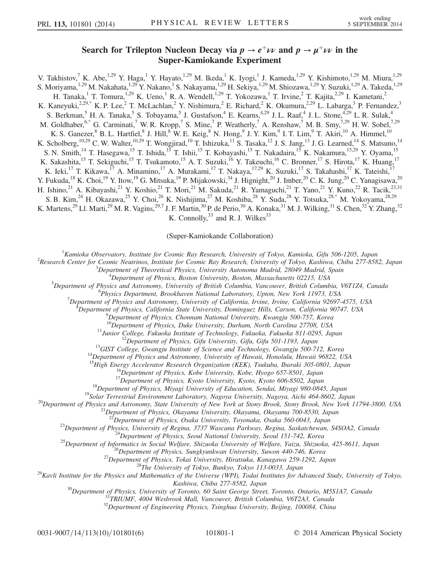## Search for Trilepton Nucleon Decay via  $p \to e^+ \nu \nu$  and  $p \to \mu^+ \nu \nu$  in the Super-Kamiokande Experiment

V. Takhistov,<sup>7</sup> K. Abe,<sup>1,29</sup> Y. Haga,<sup>1</sup> Y. Hayato,<sup>1,29</sup> M. Ikeda,<sup>1</sup> K. Iyogi,<sup>1</sup> J. Kameda,<sup>1,29</sup> Y. Kishimoto,<sup>1,29</sup> M. Miura,<sup>1,29</sup> S. Moriyama,<sup>1,29</sup> M. Nakahata,<sup>1,29</sup> Y. Nakano,<sup>1</sup> S. Nakayama,<sup>1,29</sup> H. Sekiya,<sup>1,29</sup> M. Shiozawa,<sup>1,29</sup> Y. Suzuki,<sup>1,29</sup> A. Takeda,<sup>1,29</sup> H. Tanaka,<sup>1</sup> T. Tomura,<sup>1,29</sup> K. Ueno,<sup>1</sup> R. A. Wendell,<sup>1,29</sup> T. Yokozawa,<sup>1</sup> T. Irvine,<sup>2</sup> T. Kajita,<sup>2,29</sup> I. Kametani,<sup>2</sup> K. Kaneyuki,<sup>2,2[9,\\*](#page-4-0)</sup> K. P. Lee,<sup>2</sup> T. McLachlan,<sup>2</sup> Y. Nishimura,<sup>2</sup> E. Richard,<sup>2</sup> K. Okumura,<sup>2,29</sup> L. Labarga,<sup>3</sup> P. Fernandez,<sup>3</sup> S. Berkman,<sup>5</sup> H. A. Tanaka,<sup>5</sup> S. Tobayama,<sup>5</sup> J. Gustafson,<sup>4</sup> E. Kearns,<sup>4,29</sup> J. L. Raaf,<sup>4</sup> J. L. Stone,<sup>4,29</sup> L. R. Sulak,<sup>4</sup> M. Goldhaber,  $6^*$  G. Carminati,  $7$  W. R. Kropp,  $7$  S. Mine,  $7$  P. Weatherly,  $7$  A. Renshaw,  $7$  M. B. Smy,  $7.29$  H. W. Sobel,  $7.29$ K. S. Ganezer,  $8$  B. L. Hartfiel,  $8$  J. Hill,  $8$  W. E. Keig,  $8$  N. Hong,  $9$  J. Y. Kim,  $9$  I. T. Lim,  $9$  T. Akiri,  $10$  A. Himmel,  $10$ K. Scholberg,<sup>10,29</sup> C. W. Walter,<sup>10,29</sup> T. Wongjirad,<sup>10</sup> T. Ishizuka,<sup>11</sup> S. Tasaka,<sup>12</sup> J. S. Jang,<sup>13</sup> J. G. Learned,<sup>14</sup> S. Matsuno,<sup>14</sup> S. N. Smith,<sup>14</sup> T. Hasegawa,<sup>15</sup> T. Ishida,<sup>15</sup> T. Ishii,<sup>15</sup> T. Kobayashi,<sup>15</sup> T. Nakadaira,<sup>15</sup> K. Nakamura,<sup>15,29</sup> Y. Oyama,<sup>15</sup> K. Sakashita,<sup>15</sup> T. Sekiguchi,<sup>15</sup> T. Tsukamoto,<sup>15</sup> A. T. Suzuki,<sup>16</sup> Y. Takeuchi,<sup>16</sup> C. Bronner,<sup>17</sup> S. Hirota,<sup>17</sup> K. Huang,<sup>17</sup> K. Ieki,<sup>17</sup> T. Kikawa,<sup>17</sup> A. Minamino,<sup>17</sup> A. Murakami,<sup>17</sup> T. Nakaya,<sup>17,29</sup> K. Suzuki,<sup>17</sup> S. Takahashi,<sup>17</sup> K. Tateishi,<sup>17</sup> Y. Fukuda, <sup>18</sup> K. Choi, <sup>19</sup> Y. Itow, <sup>19</sup> G. Mitsuka, <sup>19</sup> P. Mijakowski, <sup>34</sup> J. Hignight, <sup>20</sup> J. Imber, <sup>20</sup> C. K. Jung, <sup>20</sup> C. Yanagisawa, <sup>20</sup> H. Ishino,<sup>21</sup> A. Kibayashi,<sup>21</sup> Y. Koshio,<sup>21</sup> T. Mori,<sup>21</sup> M. Sakuda,<sup>21</sup> R. Yamaguchi,<sup>21</sup> T. Yano,<sup>21</sup> Y. Kuno,<sup>22</sup> R. Tacik,<sup>23,31</sup> S. B. Kim,<sup>24</sup> H. Okazawa,<sup>25</sup> Y. Choi,<sup>26</sup> K. Nishijima,<sup>27</sup> M. Koshiba,<sup>28</sup> Y. Suda,<sup>28</sup> Y. Totsuka,<sup>2[8,\\*](#page-4-0)</sup> M. Yokoyama,<sup>28,29</sup> K. Martens,<sup>29</sup> Ll. Marti,<sup>29</sup> M. R. Vagins,<sup>29,7</sup> J. F. Martin,<sup>30</sup> P. de Perio,<sup>30</sup> A. Konaka,<sup>31</sup> M. J. Wilking,<sup>31</sup> S. Chen,<sup>32</sup> Y. Zhang,<sup>32</sup> K. Connolly,  $33$  and R. J. Wilkes<sup>33</sup>

(Super-Kamiokande Collaboration)

<span id="page-0-0"></span><sup>1</sup> Kamioka Observatory, Institute for Cosmic Ray Research, University of Tokyo, Kamioka, Gifu 506-1205, Japan <sup>2</sup> Pescarah Cantas for Cosmic Nautrinos, Institute for Cosmic Ray Research, University of Tokyo, Kaphiya, Chib

<sup>2</sup>Research Center for Cosmic Neutrinos, Institute for Cosmic Ray Research, University of Tokyo, Kashiwa, Chiba 277-8582, Japan

 ${}^{3}$ Department of Theoretical Physics, University Autonoma Madrid, 28049 Madrid, Spain  ${}^{4}$ Department of Physics, Boston University, Boston, Massachusetts 02215, USA

<sup>4</sup>Department of Physics, Boston University, Boston, Massachusetts 02215, USA<br><sup>5</sup>Department of Physics and Astronomy, University of Pritish Columbia, Vancouver, Pritish Columb

Department of Physics and Astronomy, University of British Columbia, Vancouver, British Columbia, V6T1Z4, Canada<br><sup>6</sup> Physics Department, Brookhayen National Laboratory, Unter, Naw York 11072, USA

<sup>6</sup>Physics Department, Brookhaven National Laboratory, Upton, New York 11973, USA

 $^7$ Department of Physics and Astronomy, University of California, Irvine, Irvine, California 92697-4575, USA

 $\delta$ Department of Physics, California State University, Dominguez Hills, Carson, California 90747, USA

 ${}^{9}$ Department of Physics, Chonnam National University, Kwangju 500-757, Korea  ${}^{10}$ Department of Physics, Duke University, Durham, North Carolina 27708, USA

<sup>11</sup>Junior College, Fukuoka Institute of Technology, Fukuoka, Fukuoka 811-0295, Japan<br><sup>12</sup>Department of Physics, Gifu University, Gifu, Gifu 501-1193, Japan<br><sup>13</sup>GIST College, Gwangju Institute of Science and Technology, G

<sup>16</sup>Department of Physics, Kobe University, Kobe, Hyogo 657-8501, Japan<br><sup>17</sup>Department of Physics, Kyoto University, Kyoto, Kyoto 606-8502, Japan<br><sup>18</sup>Department of Physics, Miyagi University of Education, Sendai, Miyagi 9

<sup>23</sup>Department of Physics, University of Regina, 3737 Wascana Parkway, Regina, Saskatchewan, S4SOA2, Canada<sup>24</sup>Department of Physics, Seoul National University, Seoul 151-742, Korea<sup>25</sup>Department of Informatics in Social

Kashiwa, Chiba 277-8582, Japan<br><sup>30</sup>Department of Physics, University of Toronto, 60 Saint George Street, Toronto, Ontario, M5S1A7, Canada<br><sup>31</sup>TRIUMF, 4004 Wesbrook Mall, Vancouver, British Columbia, V6T2A3, Canada<br><sup>32</sup>Depa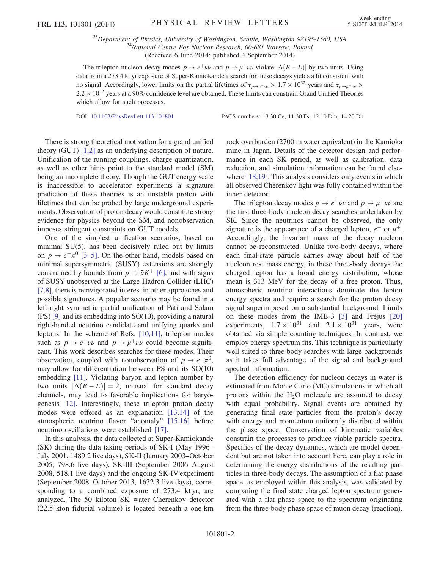$33$ Department of Physics, University of Washington, Seattle, Washington 98195-1560, USA<br> $34$ National Centre For Nuclear Research, 00-681 Warsaw, Poland (Received 6 June 2014; published 4 September 2014)

The trilepton nucleon decay modes  $p \to e^+ \nu \nu$  and  $p \to \mu^+ \nu \nu$  violate  $|\Delta(B - L)|$  by two units. Using data from a 273.4 kt yr exposure of Super-Kamiokande a search for these decays yields a fit consistent with no signal. Accordingly, lower limits on the partial lifetimes of  $\tau_{p\to e^+\nu\nu} > 1.7 \times 10^{32}$  years and  $\tau_{p\to u^+\nu\nu} > 1.7 \times 10^{32}$  $2.2 \times 10^{32}$  years at a 90% confidence level are obtained. These limits can constrain Grand Unified Theories which allow for such processes.

DOI: [10.1103/PhysRevLett.113.101801](http://dx.doi.org/10.1103/PhysRevLett.113.101801) PACS numbers: 13.30.Ce, 11.30.Fs, 12.10.Dm, 14.20.Dh

There is strong theoretical motivation for a grand unified theory (GUT) [\[1,2\]](#page-4-1) as an underlying description of nature. Unification of the running couplings, charge quantization, as well as other hints point to the standard model (SM) being an incomplete theory. Though the GUT energy scale is inaccessible to accelerator experiments a signature prediction of these theories is an unstable proton with lifetimes that can be probed by large underground experiments. Observation of proton decay would constitute strong evidence for physics beyond the SM, and nonobservation imposes stringent constraints on GUT models.

One of the simplest unification scenarios, based on minimal SU(5), has been decisively ruled out by limits on  $p \rightarrow e^+ \pi^0$  [\[3](#page-4-2)–5]. On the other hand, models based on minimal supersymmetric (SUSY) extensions are strongly constrained by bounds from  $p \to \bar{\nu} K^+$  [\[6\],](#page-4-3) and with signs of SUSY unobserved at the Large Hadron Collider (LHC) [\[7,8\],](#page-4-4) there is reinvigorated interest in other approaches and possible signatures. A popular scenario may be found in a left-right symmetric partial unification of Pati and Salam (PS) [\[9\]](#page-4-5) and its embedding into SO(10), providing a natural right-handed neutrino candidate and unifying quarks and leptons. In the scheme of Refs. [\[10,11\],](#page-4-6) trilepton modes such as  $p \to e^+ \nu \nu$  and  $p \to \mu^+ \nu \nu$  could become significant. This work describes searches for these modes. Their observation, coupled with nonobservation of  $p \to e^+ \pi^0$ , may allow for differentiation between PS and its SO(10) embedding [\[11\].](#page-4-7) Violating baryon and lepton number by two units  $|\Delta(B - L)| = 2$ , unusual for standard decay channels, may lead to favorable implications for baryogenesis [\[12\]](#page-4-8). Interestingly, these trilepton proton decay modes were offered as an explanation [\[13,14\]](#page-4-9) of the atmospheric neutrino flavor "anomaly" [\[15,16\]](#page-4-10) before neutrino oscillations were established [\[17\].](#page-5-0)

In this analysis, the data collected at Super-Kamiokande (SK) during the data taking periods of SK-I (May 1996– July 2001, 1489.2 live days), SK-II (January 2003–October 2005, 798.6 live days), SK-III (September 2006–August 2008, 518.1 live days) and the ongoing SK-IV experiment (September 2008–October 2013, 1632.3 live days), corresponding to a combined exposure of 273.4 kt yr, are analyzed. The 50 kiloton SK water Cherenkov detector (22.5 kton fiducial volume) is located beneath a one-km rock overburden (2700 m water equivalent) in the Kamioka mine in Japan. Details of the detector design and performance in each SK period, as well as calibration, data reduction, and simulation information can be found else-where [\[18,19\].](#page-5-1) This analysis considers only events in which all observed Cherenkov light was fully contained within the inner detector.

The trilepton decay modes  $p \to e^+ \nu \nu$  and  $p \to \mu^+ \nu \nu$  are the first three-body nucleon decay searches undertaken by SK. Since the neutrinos cannot be observed, the only signature is the appearance of a charged lepton,  $e^+$  or  $\mu^+$ . Accordingly, the invariant mass of the decay nucleon cannot be reconstructed. Unlike two-body decays, where each final-state particle carries away about half of the nucleon rest mass energy, in these three-body decays the charged lepton has a broad energy distribution, whose mean is 313 MeV for the decay of a free proton. Thus, atmospheric neutrino interactions dominate the lepton energy spectra and require a search for the proton decay signal superimposed on a substantial background. Limits on these modes from the IMB-3 [\[3\]](#page-4-2) and Fréjus [\[20\]](#page-5-2) experiments,  $1.7 \times 10^{31}$  and  $2.1 \times 10^{31}$  years, were obtained via simple counting techniques. In contrast, we employ energy spectrum fits. This technique is particularly well suited to three-body searches with large backgrounds as it takes full advantage of the signal and background spectral information.

The detection efficiency for nucleon decays in water is estimated from Monte Carlo (MC) simulations in which all protons within the  $H_2O$  molecule are assumed to decay with equal probability. Signal events are obtained by generating final state particles from the proton's decay with energy and momentum uniformly distributed within the phase space. Conservation of kinematic variables constrain the processes to produce viable particle spectra. Specifics of the decay dynamics, which are model dependent but are not taken into account here, can play a role in determining the energy distributions of the resulting particles in three-body decays. The assumption of a flat phase space, as employed within this analysis, was validated by comparing the final state charged lepton spectrum generated with a flat phase space to the spectrum originating from the three-body phase space of muon decay (reaction),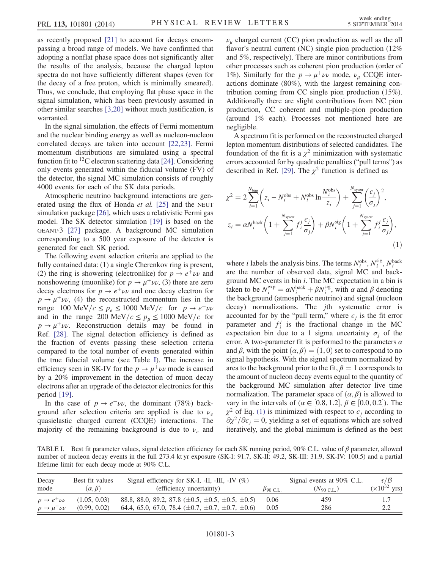as recently proposed [\[21\]](#page-5-3) to account for decays encompassing a broad range of models. We have confirmed that adopting a nonflat phase space does not significantly alter the results of the analysis, because the charged lepton spectra do not have sufficiently different shapes (even for the decay of a free proton, which is minimally smeared). Thus, we conclude, that employing flat phase space in the signal simulation, which has been previously assumed in other similar searches [\[3,20\]](#page-4-2) without much justification, is warranted.

In the signal simulation, the effects of Fermi momentum and the nuclear binding energy as well as nucleon-nucleon correlated decays are taken into account [\[22,23\].](#page-5-4) Fermi momentum distributions are simulated using a spectral function fit to  $^{12}$ C electron scattering data [\[24\]](#page-5-5). Considering only events generated within the fiducial volume (FV) of the detector, the signal MC simulation consists of roughly 4000 events for each of the SK data periods.

Atmospheric neutrino background interactions are generated using the flux of Honda *et al.* [\[25\]](#page-5-6) and the NEUT simulation package [\[26\]](#page-5-7), which uses a relativistic Fermi gas model. The SK detector simulation [\[19\]](#page-5-8) is based on the GEANT-3 [\[27\]](#page-5-9) package. A background MC simulation corresponding to a 500 year exposure of the detector is generated for each SK period.

The following event selection criteria are applied to the fully contained data: (1) a single Cherenkov ring is present, (2) the ring is showering (electronlike) for  $p \to e^+ \nu \nu$  and nonshowering (muonlike) for  $p \to \mu^+ \nu$ , (3) there are zero decay electrons for  $p \to e^+ \nu \nu$  and one decay electron for  $p \rightarrow \mu^+ \nu \nu$ , (4) the reconstructed momentum lies in the range 100 MeV/ $c \leq p_e \leq 1000$  MeV/c for  $p \to e^+ \nu \nu$ and in the range 200 MeV/ $c \leq p_\mu \leq 1000$  MeV/c for  $p \rightarrow \mu^+ \nu \nu$ . Reconstruction details may be found in Ref. [\[28\]](#page-5-10). The signal detection efficiency is defined as the fraction of events passing these selection criteria compared to the total number of events generated within the true fiducial volume (see Table [I](#page-2-0)). The increase in efficiency seen in SK-IV for the  $p \to \mu^+ \nu \nu$  mode is caused by a 20% improvement in the detection of muon decay electrons after an upgrade of the detector electronics for this period [\[19\]](#page-5-8).

In the case of  $p \to e^+ \nu \nu$ , the dominant (78%) background after selection criteria are applied is due to  $\nu_e$ quasielastic charged current (CCQE) interactions. The majority of the remaining background is due to  $\nu_e$  and  $\nu_{\mu}$  charged current (CC) pion production as well as the all flavor's neutral current (NC) single pion production (12% and 5%, respectively). There are minor contributions from other processes such as coherent pion production (order of 1%). Similarly for the  $p \to \mu^+ \nu \nu$  mode,  $\nu_\mu$  CCQE interactions dominate (80%), with the largest remaining contribution coming from CC single pion production (15%). Additionally there are slight contributions from NC pion production, CC coherent and multiple-pion production (around 1% each). Processes not mentioned here are negligible.

A spectrum fit is performed on the reconstructed charged lepton momentum distributions of selected candidates. The foundation of the fit is a  $\chi^2$  minimization with systematic errors accounted for by quadratic penalties ("pull terms") as described in Ref. [\[29\].](#page-5-11) The  $\chi^2$  function is defined as

<span id="page-2-1"></span>
$$
\chi^{2} = 2 \sum_{i=1}^{N_{\text{bins}}} \left( z_{i} - N_{i}^{\text{obs}} + N_{i}^{\text{obs}} \ln \frac{N_{i}^{\text{obs}}}{z_{i}} \right) + \sum_{j=1}^{N_{\text{system}}} \left( \frac{\epsilon_{j}}{\sigma_{j}} \right)^{2},
$$
  

$$
z_{i} = \alpha N_{i}^{\text{back}} \left( 1 + \sum_{j=1}^{N_{\text{system}}} f_{i}^{j} \frac{\epsilon_{j}}{\sigma_{j}} \right) + \beta N_{i}^{\text{sig}} \left( 1 + \sum_{j=1}^{N_{\text{system}}} f_{i}^{j} \frac{\epsilon_{j}}{\sigma_{j}} \right),
$$
  
(1)

where *i* labels the analysis bins. The terms  $N_i^{\text{obs}}$ ,  $N_i^{\text{sig}}$ ,  $N_i^{\text{back}}$ are the number of observed data, signal MC and background MC events in bin  $i$ . The MC expectation in a bin is taken to be  $N_i^{\text{exp}} = \alpha N_i^{\text{back}} + \beta N_i^{\text{sig}}$ , with  $\alpha$  and  $\beta$  denoting the background (atmospheric neutrino) and signal (nucleon decay) normalizations. The *j*th systematic error is accounted for by the "pull term," where  $\epsilon_i$  is the fit error parameter and  $f_i^j$  is the fractional change in the MC expectation bin due to a 1 sigma uncertainty  $\sigma_i$  of the error. A two-parameter fit is performed to the parameters  $\alpha$ and  $\beta$ , with the point  $(\alpha, \beta) = (1, 0)$  set to correspond to no signal hypothesis. With the signal spectrum normalized by area to the background prior to the fit,  $\beta = 1$  corresponds to the amount of nucleon decay events equal to the quantity of the background MC simulation after detector live time normalization. The parameter space of  $(\alpha, \beta)$  is allowed to vary in the intervals of  $(\alpha \in [0.8, 1.2], \beta \in [0.0, 0.2])$ . The  $\chi^2$  of Eq. [\(1\)](#page-2-1) is minimized with respect to  $\epsilon_i$  according to  $\partial \chi^2/\partial \epsilon_i = 0$ , yielding a set of equations which are solved iteratively, and the global minimum is defined as the best

<span id="page-2-0"></span>TABLE I. Best fit parameter values, signal detection efficiency for each SK running period, 90% C.L. value of β parameter, allowed number of nucleon decay events in the full 273.4 kt yr exposure (SK-I: 91.7, SK-II: 49.2, SK-III: 31.9, SK-IV: 100.5) and a partial lifetime limit for each decay mode at 90% C.L.

| Decay<br>mode                 | Best fit values<br>$(\alpha, \beta)$ | Signal efficiency for SK-I, -II, -III, -IV $(\%)$<br>(efficiency uncertainty) | $\beta$ 90 C.L. | $\tau/\mathcal{B}$<br>Signal events at 90% C.L.<br>$(\times 10^{32} \text{ yrs})$<br>$(N_{90 \text{ C.L.}})$ |     |  |  |  |
|-------------------------------|--------------------------------------|-------------------------------------------------------------------------------|-----------------|--------------------------------------------------------------------------------------------------------------|-----|--|--|--|
| $p \rightarrow e^+ \nu \nu$   | (1.05, 0.03)                         | 88.8, 88.0, 89.2, 87.8 $(\pm 0.5, \pm 0.5, \pm 0.5, \pm 0.5)$                 | 0.06            | 459                                                                                                          | 2.2 |  |  |  |
| $p \rightarrow \mu^+ \nu \nu$ | (0.99, 0.02)                         | 64.4, 65.0, 67.0, 78.4 $(\pm 0.7, \pm 0.7, \pm 0.7, \pm 0.6)$                 | 0.05            | 286                                                                                                          |     |  |  |  |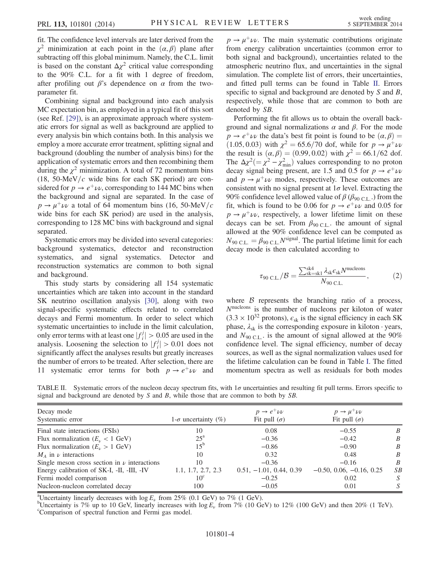fit. The confidence level intervals are later derived from the  $\chi^2$  minimization at each point in the  $(\alpha, \beta)$  plane after subtracting off this global minimum. Namely, the C.L. limit is based on the constant  $\Delta \chi^2$  critical value corresponding to the 90% C.L. for a fit with 1 degree of freedom, after profiling out  $\beta$ 's dependence on  $\alpha$  from the twoparameter fit.

Combining signal and background into each analysis MC expectation bin, as employed in a typical fit of this sort (see Ref. [\[29\]](#page-5-11)), is an approximate approach where systematic errors for signal as well as background are applied to every analysis bin which contains both. In this analysis we employ a more accurate error treatment, splitting signal and background (doubling the number of analysis bins) for the application of systematic errors and then recombining them during the  $\chi^2$  minimization. A total of 72 momentum bins  $(18, 50\text{-MeV}/c$  wide bins for each SK period) are considered for  $p \to e^+ \nu \nu$ , corresponding to 144 MC bins when the background and signal are separated. In the case of  $p \rightarrow \mu^+ \nu \nu$  a total of 64 momentum bins (16, 50-MeV/c wide bins for each SK period) are used in the analysis, corresponding to 128 MC bins with background and signal separated.

Systematic errors may be divided into several categories: background systematics, detector and reconstruction systematics, and signal systematics. Detector and reconstruction systematics are common to both signal and background.

This study starts by considering all 154 systematic uncertainties which are taken into account in the standard SK neutrino oscillation analysis [\[30\],](#page-5-12) along with two signal-specific systematic effects related to correlated decays and Fermi momentum. In order to select which systematic uncertainties to include in the limit calculation, only error terms with at least one  $|f_i^j| > 0.05$  are used in the analysis. Loosening the selection to  $|f_i^j| > 0.01$  does not significantly affect the analyses results but greatly increases the number of errors to be treated. After selection, there are 11 systematic error terms for both  $p \to e^+ \nu \nu$  and

 $p \rightarrow \mu^+ \nu \nu$ . The main systematic contributions originate from energy calibration uncertainties (common error to both signal and background), uncertainties related to the atmospheric neutrino flux, and uncertainties in the signal simulation. The complete list of errors, their uncertainties, and fitted pull terms can be found in Table [II](#page-3-0). Errors specific to signal and background are denoted by S and B, respectively, while those that are common to both are denoted by SB.

Performing the fit allows us to obtain the overall background and signal normalizations α and β. For the mode  $p \rightarrow e^+ \nu \nu$  the data's best fit point is found to be  $(\alpha, \beta) =$  $(1.05, 0.03)$  with  $\chi^2 = 65.6/70$  dof, while for  $p \to \mu^+ \nu \nu$ the result is  $(\alpha, \beta) = (0.99, 0.02)$  with  $\chi^2 = 66.1/62$  dof. The  $\Delta \chi^2 (= \chi^2 - \chi^2)$  values corresponding to no proton decay signal being present, are 1.5 and 0.5 for  $p \rightarrow e^+ \nu \nu$ and  $p \rightarrow \mu^+ \nu \nu$  modes, respectively. These outcomes are consistent with no signal present at  $1\sigma$  level. Extracting the 90% confidence level allowed value of  $\beta$  ( $\beta$ <sub>90 C.L</sub>.) from the fit, which is found to be 0.06 for  $p \to e^+ \nu \nu$  and 0.05 for  $p \rightarrow \mu^+ \nu \nu$ , respectively, a lower lifetime limit on these decays can be set. From  $\beta_{90 \text{ C.L.}}$  the amount of signal allowed at the 90% confidence level can be computed as  $N_{90 \text{ C.L.}} = \beta_{90 \text{ C.L.}} N^{\text{signal}}$ . The partial lifetime limit for each decay mode is then calculated according to

$$
\tau_{90 \text{ C.L.}}/\mathcal{B} = \frac{\sum_{\text{sk}=k1}^{\text{sk4}} \lambda_{\text{sk}} \epsilon_{\text{sk}} N^{\text{nucleons}}}{N_{90 \text{ C.L.}}},\tag{2}
$$

where  $\beta$  represents the branching ratio of a process,  $N<sup>nucleons</sup>$  is the number of nucleons per kiloton of water  $(3.3 \times 10^{32} \text{ protons})$ ,  $\epsilon_{sk}$  is the signal efficiency in each SK phase,  $\lambda_{sk}$  is the corresponding exposure in kiloton  $\cdot$  years, and  $N_{90 \text{ C.L.}}$  is the amount of signal allowed at the 90% confidence level. The signal efficiency, number of decay sources, as well as the signal normalization values used for the lifetime calculation can be found in Table [I](#page-2-0). The fitted momentum spectra as well as residuals for both modes

<span id="page-3-0"></span>

| TABLE II. Systematic errors of the nucleon decay spectrum fits, with $1\sigma$ uncertainties and resulting fit pull terms. Errors specific to |  |  |  |  |  |  |  |  |
|-----------------------------------------------------------------------------------------------------------------------------------------------|--|--|--|--|--|--|--|--|
| signal and background are denoted by $S$ and $B$ , while those that are common to both by $SB$ .                                              |  |  |  |  |  |  |  |  |

| Decay mode<br>Systematic error                   | 1- $\sigma$ uncertainty (%) | $p \rightarrow e^+ \nu \nu$<br>Fit pull $(\sigma)$ | $p \rightarrow \mu^+ \nu \nu$<br>Fit pull $(\sigma)$ |                  |
|--------------------------------------------------|-----------------------------|----------------------------------------------------|------------------------------------------------------|------------------|
| Final state interactions (FSIs)                  | 10                          | 0.08                                               | $-0.55$                                              | B                |
| Flux normalization ( $E_v < 1$ GeV)              | $25^{\circ}$                | $-0.36$                                            | $-0.42$                                              | $\boldsymbol{B}$ |
| Flux normalization $(E_v > 1 \text{ GeV})$       | $15^{\mathrm{b}}$           | $-0.86$                                            | $-0.90$                                              | $\boldsymbol{B}$ |
| $M_A$ in $\nu$ interactions                      | 10                          | 0.32                                               | 0.48                                                 | $\boldsymbol{B}$ |
| Single meson cross section in $\nu$ interactions | 10                          | $-0.36$                                            | $-0.16$                                              | $\boldsymbol{B}$ |
| Energy calibration of SK-I, -II, -III, -IV       | 1.1, 1.7, 2.7, 2.3          | $0.51, -1.01, 0.44, 0.39$                          | $-0.50, 0.06, -0.16, 0.25$                           | SB               |
| Fermi model comparison                           | $10^{\circ}$                | $-0.25$                                            | 0.02                                                 | S                |
| Nucleon-nucleon correlated decay                 | 100                         | $-0.05$                                            | 0.01                                                 | S                |

<sup>a</sup>Uncertainty linearly decreases with  $\log E_{\nu}$  from 25% (0.1 GeV) to 7% (1 GeV).

<sup>b</sup>Uncertainty is 7% up to 10 GeV, linearly increases with  $\log E_v$  from 7% (10 GeV) to 12% (100 GeV) and then 20% (1 TeV). Comparison of spectral function and Fermi gas model.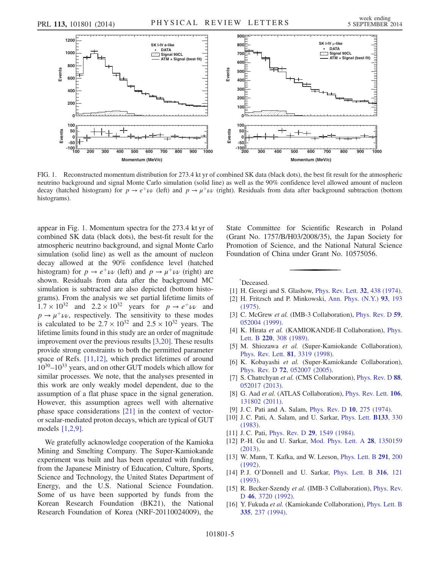<span id="page-4-11"></span>

FIG. 1. Reconstructed momentum distribution for 273.4 kt yr of combined SK data (black dots), the best fit result for the atmospheric neutrino background and signal Monte Carlo simulation (solid line) as well as the 90% confidence level allowed amount of nucleon decay (hatched histogram) for  $p \to e^+\nu\bar{\nu}$  (left) and  $p \to \mu^+\nu\bar{\nu}$  (right). Residuals from data after background subtraction (bottom histograms).

appear in Fig. [1.](#page-4-11) Momentum spectra for the 273.4 kt yr of combined SK data (black dots), the best-fit result for the atmospheric neutrino background, and signal Monte Carlo simulation (solid line) as well as the amount of nucleon decay allowed at the 90% confidence level (hatched histogram) for  $p \to e^+ \nu \nu$  (left) and  $p \to \mu^+ \nu \nu$  (right) are shown. Residuals from data after the background MC simulation is subtracted are also depicted (bottom histograms). From the analysis we set partial lifetime limits of  $1.7 \times 10^{32}$  and  $2.2 \times 10^{32}$  years for  $p \rightarrow e^+ \nu \nu$  and  $p \rightarrow \mu^+ \nu \nu$ , respectively. The sensitivity to these modes is calculated to be  $2.7 \times 10^{32}$  and  $2.5 \times 10^{32}$  years. The lifetime limits found in this study are an order of magnitude improvement over the previous results [\[3,20\].](#page-4-2) These results provide strong constraints to both the permitted parameter space of Refs. [\[11,12\]](#page-4-7), which predict lifetimes of around 1030–1033 years, and on other GUT models which allow for similar processes. We note, that the analyses presented in this work are only weakly model dependent, due to the assumption of a flat phase space in the signal generation. However, this assumption agrees well with alternative phase space considerations [\[21\]](#page-5-3) in the context of vectoror scalar-mediated proton decays, which are typical of GUT models [\[1,2,9\]](#page-4-1).

We gratefully acknowledge cooperation of the Kamioka Mining and Smelting Company. The Super-Kamiokande experiment was built and has been operated with funding from the Japanese Ministry of Education, Culture, Sports, Science and Technology, the United States Department of Energy, and the U.S. National Science Foundation. Some of us have been supported by funds from the Korean Research Foundation (BK21), the National Research Foundation of Korea (NRF-20110024009), the State Committee for Scientific Research in Poland (Grant No. 1757/B/H03/2008/35), the Japan Society for Promotion of Science, and the National Natural Science Foundation of China under Grant No. 10575056.

<span id="page-4-0"></span>[\\*](#page-0-0) Deceased.

- <span id="page-4-1"></span>[1] H. Georgi and S. Glashow, [Phys. Rev. Lett.](http://dx.doi.org/10.1103/PhysRevLett.32.438) 32, 438 (1974).
- [2] H. Fritzsch and P. Minkowski, [Ann. Phys. \(N.Y.\)](http://dx.doi.org/10.1016/0003-4916(75)90211-0) 93, 193 [\(1975\).](http://dx.doi.org/10.1016/0003-4916(75)90211-0)
- <span id="page-4-2"></span>[3] C. McGrew et al. (IMB-3 Collaboration), [Phys. Rev. D](http://dx.doi.org/10.1103/PhysRevD.59.052004) 59, [052004 \(1999\).](http://dx.doi.org/10.1103/PhysRevD.59.052004)
- [4] K. Hirata et al. (KAMIOKANDE-II Collaboration), [Phys.](http://dx.doi.org/10.1016/0370-2693(89)90058-0) Lett. B 220[, 308 \(1989\).](http://dx.doi.org/10.1016/0370-2693(89)90058-0)
- [5] M. Shiozawa et al. (Super-Kamiokande Collaboration), [Phys. Rev. Lett.](http://dx.doi.org/10.1103/PhysRevLett.81.3319) 81, 3319 (1998).
- <span id="page-4-3"></span>[6] K. Kobayashi et al. (Super-Kamiokande Collaboration), Phys. Rev. D 72[, 052007 \(2005\)](http://dx.doi.org/10.1103/PhysRevD.72.052007).
- <span id="page-4-4"></span>[7] S. Chatrchyan et al. (CMS Collaboration), [Phys. Rev. D](http://dx.doi.org/10.1103/PhysRevD.88.052017) 88, [052017 \(2013\).](http://dx.doi.org/10.1103/PhysRevD.88.052017)
- [8] G. Aad et al. (ATLAS Collaboration), [Phys. Rev. Lett.](http://dx.doi.org/10.1103/PhysRevLett.106.131802) 106, [131802 \(2011\).](http://dx.doi.org/10.1103/PhysRevLett.106.131802)
- <span id="page-4-6"></span><span id="page-4-5"></span>[9] J. C. Pati and A. Salam, [Phys. Rev. D](http://dx.doi.org/10.1103/PhysRevD.10.275) 10, 275 (1974).
- [10] J. C. Pati, A. Salam, and U. Sarkar, [Phys. Lett.](http://dx.doi.org/10.1016/0370-2693(83)90157-0) **B133**, 330 [\(1983\).](http://dx.doi.org/10.1016/0370-2693(83)90157-0)
- <span id="page-4-8"></span><span id="page-4-7"></span>[11] J.C. Pati, Phys. Rev. D 29[, 1549 \(1984\)](http://dx.doi.org/10.1103/PhysRevD.29.1549).
- [12] P.-H. Gu and U. Sarkar, [Mod. Phys. Lett. A](http://dx.doi.org/10.1142/S0217732313501599) 28, 1350159 [\(2013\).](http://dx.doi.org/10.1142/S0217732313501599)
- <span id="page-4-9"></span>[13] W. Mann, T. Kafka, and W. Leeson, *[Phys. Lett. B](http://dx.doi.org/10.1016/0370-2693(92)90144-S)* 291, 200 [\(1992\).](http://dx.doi.org/10.1016/0370-2693(92)90144-S)
- [14] P.J. O'Donnell and U. Sarkar, [Phys. Lett. B](http://dx.doi.org/10.1016/0370-2693(93)90667-7) 316, 121 [\(1993\).](http://dx.doi.org/10.1016/0370-2693(93)90667-7)
- <span id="page-4-10"></span>[15] R. Becker-Szendy et al. (IMB-3 Collaboration), [Phys. Rev.](http://dx.doi.org/10.1103/PhysRevD.46.3720) D 46[, 3720 \(1992\).](http://dx.doi.org/10.1103/PhysRevD.46.3720)
- [16] Y. Fukuda et al. (Kamiokande Collaboration), [Phys. Lett. B](http://dx.doi.org/10.1016/0370-2693(94)91420-6) 335[, 237 \(1994\)](http://dx.doi.org/10.1016/0370-2693(94)91420-6).